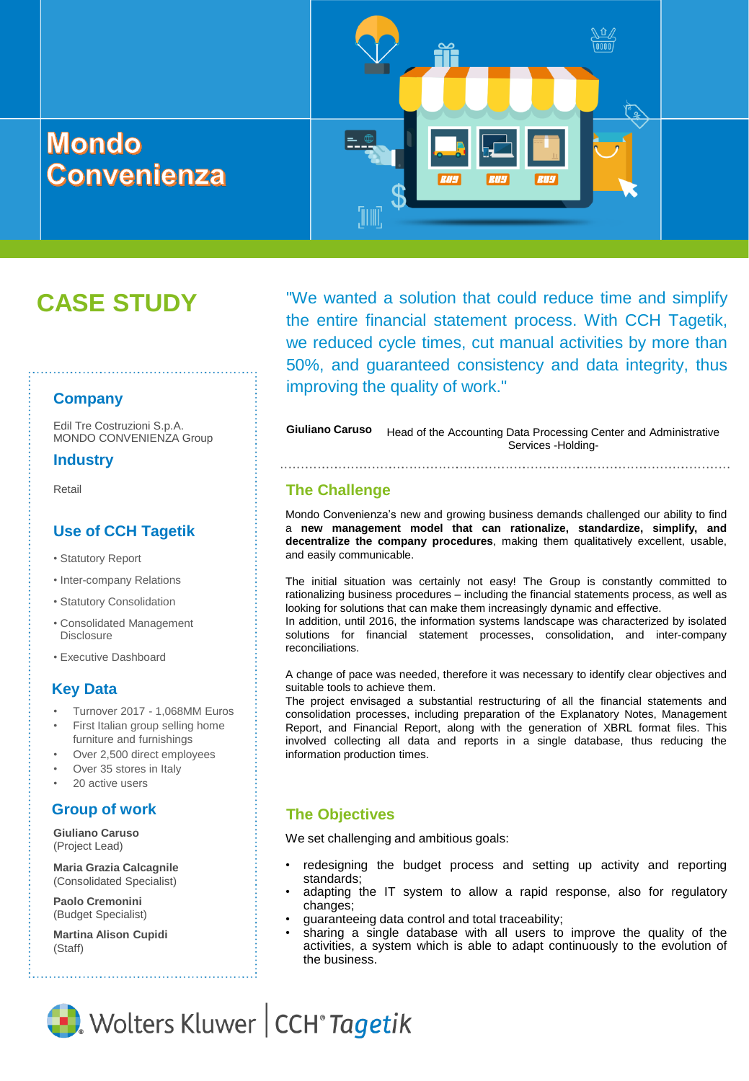# **Mondo Convenienza**

# **CASE STUDY**

**Company**

Edil Tre Costruzioni S.p.A. MONDO CONVENIENZA Group

#### **Industry**

Retail

### **Use of CCH Tagetik**

- Statutory Report
- Inter-company Relations
- Statutory Consolidation
- Consolidated Management Disclosure
- Executive Dashboard

#### **Key Data**

- Turnover 2017 1,068MM Euros
- First Italian group selling home furniture and furnishings
- Over 2,500 direct employees
- Over 35 stores in Italy
- 20 active users

**Giuliano Caruso**  (Project Lead)

**Maria Grazia Calcagnile** (Consolidated Specialist)

**Paolo Cremonini**  (Budget Specialist)

**Martina Alison Cupidi** (Staff)

"We wanted a solution that could reduce time and simplify the entire financial statement process. With CCH Tagetik, we reduced cycle times, cut manual activities by more than 50%, and guaranteed consistency and data integrity, thus improving the quality of work."

**Giuliano Caruso** Head of the Accounting Data Processing Center and Administrative Services -Holding-

#### **The Challenge**

WW.

Mondo Convenienza's new and growing business demands challenged our ability to find a **new management model that can rationalize, standardize, simplify, and decentralize the company procedures**, making them qualitatively excellent, usable, and easily communicable.

The initial situation was certainly not easy! The Group is constantly committed to rationalizing business procedures – including the financial statements process, as well as looking for solutions that can make them increasingly dynamic and effective.

In addition, until 2016, the information systems landscape was characterized by isolated solutions for financial statement processes, consolidation, and inter-company reconciliations.

A change of pace was needed, therefore it was necessary to identify clear objectives and suitable tools to achieve them.

The project envisaged a substantial restructuring of all the financial statements and consolidation processes, including preparation of the Explanatory Notes, Management Report, and Financial Report, along with the generation of XBRL format files. This involved collecting all data and reports in a single database, thus reducing the information production times.

# **Group of work The Objectives**

We set challenging and ambitious goals:

- redesigning the budget process and setting up activity and reporting standards;
- adapting the IT system to allow a rapid response, also for regulatory changes;
- guaranteeing data control and total traceability;
- sharing a single database with all users to improve the quality of the activities, a system which is able to adapt continuously to the evolution of the business.

Wolters Kluwer | CCH<sup>®</sup> Tagetik